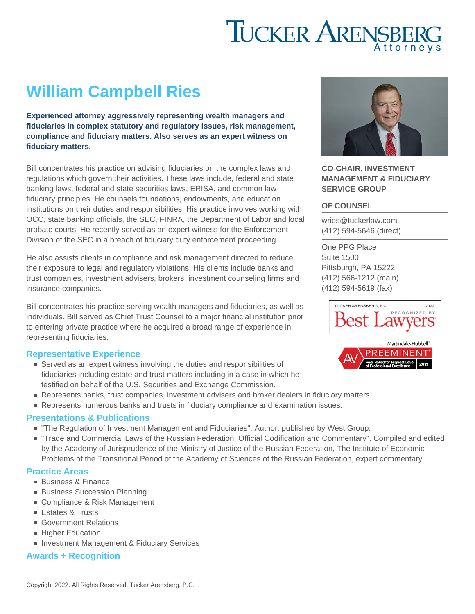# William Campbell Ries

Experienced attorney aggressively representing wealth managers and fiduciaries in complex statutory and regulatory issues, risk management, compliance and fiduciary matters. Also serves as an expert witness on fiduciary matters.

Bill concentrates his practice on advising fiduciaries on the complex laws and regulations which govern their activities. These laws include, federal and state banking laws, federal and state securities laws, ERISA, and common law fiduciary principles. He counsels foundations, endowments, and education institutions on their duties and responsibilities. His practice involves working with OCC, state banking officials, the SEC, FINRA, the Department of Labor and local probate courts. He recently served as an expert witness for the Enforcement Division of the SEC in a breach of fiduciary duty enforcement proceeding.

He also assists clients in compliance and risk management directed to reduce their exposure to legal and regulatory violations. His clients include banks and trust companies, investment advisers, brokers, investment counseling firms and insurance companies.

Bill concentrates his practice serving wealth managers and fiduciaries, as well as individuals. Bill served as Chief Trust Counsel to a major financial institution prior to entering private practice where he acquired a broad range of experience in representing fiduciaries.

# Representative Experience

- Served as an expert witness involving the duties and responsibilities of fiduciaries including estate and trust matters including in a case in which he testified on behalf of the U.S. Securities and Exchange Commission.
- Represents banks, trust companies, investment advisers and broker dealers in fiduciary matters.
- Represents numerous banks and trusts in fiduciary compliance and examination issues.

# Presentations & Publications

- "The Regulation of Investment Management and Fiduciaries", Author, published by West Group.
- "Trade and Commercial Laws of the Russian Federation: Official Codification and Commentary". Compiled and edited by the Academy of Jurisprudence of the Ministry of Justice of the Russian Federation, The Institute of Economic Problems of the Transitional Period of the Academy of Sciences of the Russian Federation, expert commentary.

#### Practice Areas

- [Business & Finance](https://www.tuckerlaw.com/practice-area/business-finance/)
- **[Business Succession Planning](https://www.tuckerlaw.com/practice-area/business-succession/)**
- [Compliance & Risk Management](https://www.tuckerlaw.com/practice-area/compliance-risk-management/)
- [Estates & Trusts](https://www.tuckerlaw.com/practice-area/estates-trusts-2/)
- [Government Relations](https://www.tuckerlaw.com/practice-area/government-relations/)
- **[Higher Education](https://www.tuckerlaw.com/practice-area/higher-education-law/)**
- **[Investment Management & Fiduciary Services](https://www.tuckerlaw.com/practice-area/investment-management/)**

# Awards + Recognition

### CO-CHAIR, INVESTMENT MANAGEMENT & FIDUCIARY SERVICE GROUP

### OF COUNSEL

[wries@tuckerlaw.com](mailto:wries@tuckerlaw.com) [\(412\) 594-5646](tel:4125945646) [\(direct\)](tel:4125945646)

[One PPG Place](https://www.tuckerlaw.com/office/pittsburgh/) [Suite 1500](https://www.tuckerlaw.com/office/pittsburgh/) [Pittsburgh, PA](https://www.tuckerlaw.com/office/pittsburgh/) [15222](https://www.tuckerlaw.com/office/pittsburgh/) [\(412\) 566-1212](tel:4125661212) [\(main\)](tel:4125661212) [\(412\) 594-5619](tel:4125945619) [\(fax\)](tel:4125945619)